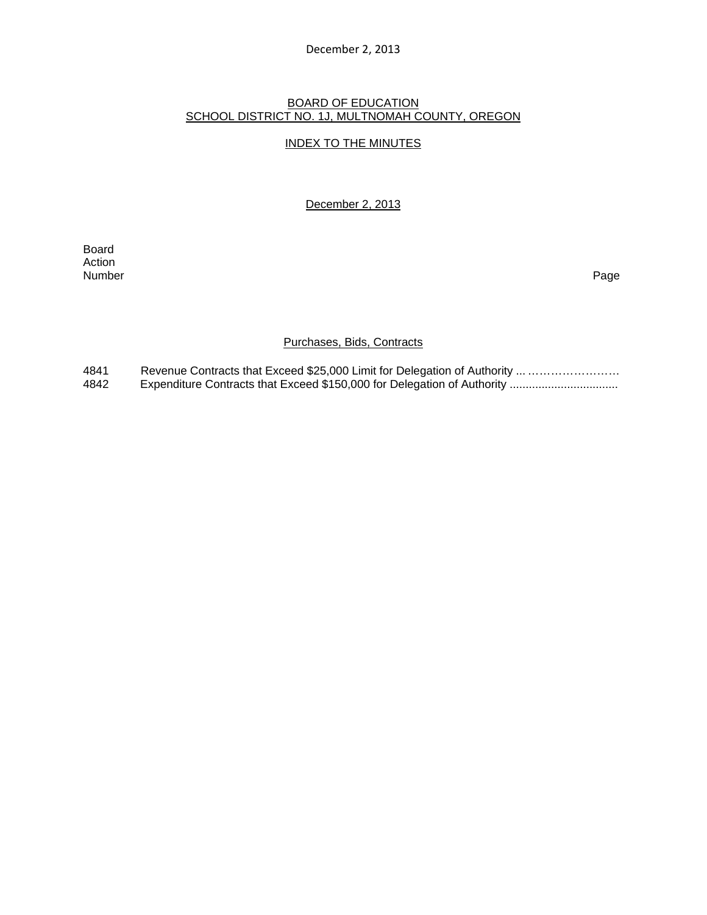#### December 2, 2013

### BOARD OF EDUCATION SCHOOL DISTRICT NO. 1J, MULTNOMAH COUNTY, OREGON

#### INDEX TO THE MINUTES

December 2, 2013

**Board Board** Action<br>Number Number Page

#### Purchases, Bids, Contracts

4841 Revenue Contracts that Exceed \$25,000 Limit for Delegation of Authority ... …………………… 4842 Expenditure Contracts that Exceed \$150,000 for Delegation of Authority .................................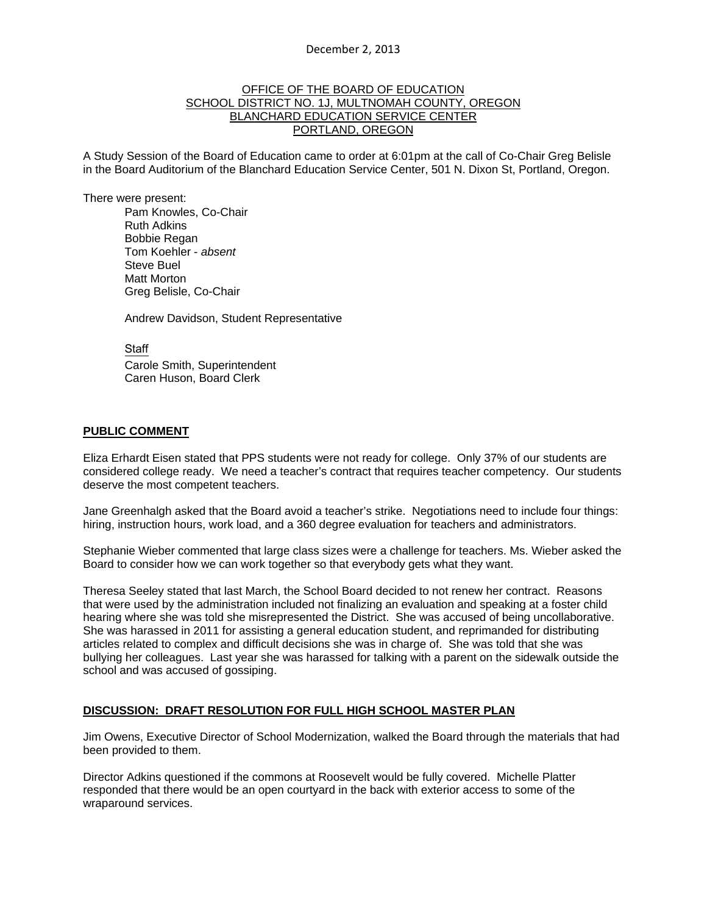#### OFFICE OF THE BOARD OF EDUCATION SCHOOL DISTRICT NO. 1J, MULTNOMAH COUNTY, OREGON BLANCHARD EDUCATION SERVICE CENTER PORTLAND, OREGON

A Study Session of the Board of Education came to order at 6:01pm at the call of Co-Chair Greg Belisle in the Board Auditorium of the Blanchard Education Service Center, 501 N. Dixon St, Portland, Oregon.

There were present: Pam Knowles, Co-Chair

Ruth Adkins Bobbie Regan Tom Koehler - *absent* Steve Buel Matt Morton Greg Belisle, Co-Chair

Andrew Davidson, Student Representative

**Staff**  Carole Smith, Superintendent Caren Huson, Board Clerk

#### **PUBLIC COMMENT**

Eliza Erhardt Eisen stated that PPS students were not ready for college. Only 37% of our students are considered college ready. We need a teacher's contract that requires teacher competency. Our students deserve the most competent teachers.

Jane Greenhalgh asked that the Board avoid a teacher's strike. Negotiations need to include four things: hiring, instruction hours, work load, and a 360 degree evaluation for teachers and administrators.

Stephanie Wieber commented that large class sizes were a challenge for teachers. Ms. Wieber asked the Board to consider how we can work together so that everybody gets what they want.

Theresa Seeley stated that last March, the School Board decided to not renew her contract. Reasons that were used by the administration included not finalizing an evaluation and speaking at a foster child hearing where she was told she misrepresented the District. She was accused of being uncollaborative. She was harassed in 2011 for assisting a general education student, and reprimanded for distributing articles related to complex and difficult decisions she was in charge of. She was told that she was bullying her colleagues. Last year she was harassed for talking with a parent on the sidewalk outside the school and was accused of gossiping.

### **DISCUSSION: DRAFT RESOLUTION FOR FULL HIGH SCHOOL MASTER PLAN**

Jim Owens, Executive Director of School Modernization, walked the Board through the materials that had been provided to them.

Director Adkins questioned if the commons at Roosevelt would be fully covered. Michelle Platter responded that there would be an open courtyard in the back with exterior access to some of the wraparound services.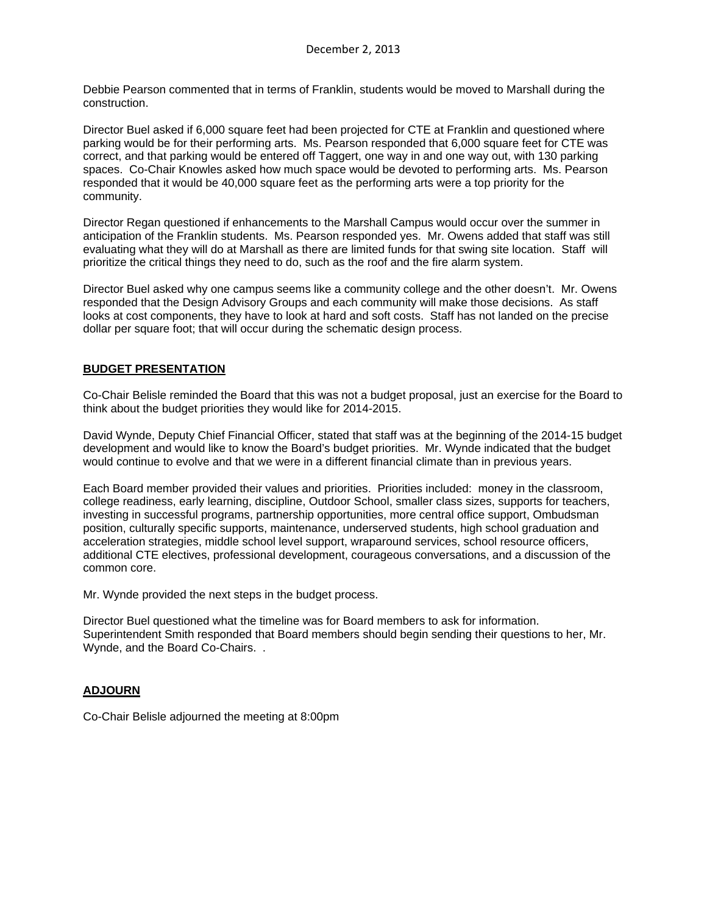Debbie Pearson commented that in terms of Franklin, students would be moved to Marshall during the construction.

Director Buel asked if 6,000 square feet had been projected for CTE at Franklin and questioned where parking would be for their performing arts. Ms. Pearson responded that 6,000 square feet for CTE was correct, and that parking would be entered off Taggert, one way in and one way out, with 130 parking spaces. Co-Chair Knowles asked how much space would be devoted to performing arts. Ms. Pearson responded that it would be 40,000 square feet as the performing arts were a top priority for the community.

Director Regan questioned if enhancements to the Marshall Campus would occur over the summer in anticipation of the Franklin students. Ms. Pearson responded yes. Mr. Owens added that staff was still evaluating what they will do at Marshall as there are limited funds for that swing site location. Staff will prioritize the critical things they need to do, such as the roof and the fire alarm system.

Director Buel asked why one campus seems like a community college and the other doesn't. Mr. Owens responded that the Design Advisory Groups and each community will make those decisions. As staff looks at cost components, they have to look at hard and soft costs. Staff has not landed on the precise dollar per square foot; that will occur during the schematic design process.

# **BUDGET PRESENTATION**

Co-Chair Belisle reminded the Board that this was not a budget proposal, just an exercise for the Board to think about the budget priorities they would like for 2014-2015.

David Wynde, Deputy Chief Financial Officer, stated that staff was at the beginning of the 2014-15 budget development and would like to know the Board's budget priorities. Mr. Wynde indicated that the budget would continue to evolve and that we were in a different financial climate than in previous years.

Each Board member provided their values and priorities. Priorities included: money in the classroom, college readiness, early learning, discipline, Outdoor School, smaller class sizes, supports for teachers, investing in successful programs, partnership opportunities, more central office support, Ombudsman position, culturally specific supports, maintenance, underserved students, high school graduation and acceleration strategies, middle school level support, wraparound services, school resource officers, additional CTE electives, professional development, courageous conversations, and a discussion of the common core.

Mr. Wynde provided the next steps in the budget process.

Director Buel questioned what the timeline was for Board members to ask for information. Superintendent Smith responded that Board members should begin sending their questions to her, Mr. Wynde, and the Board Co-Chairs. .

# **ADJOURN**

Co-Chair Belisle adjourned the meeting at 8:00pm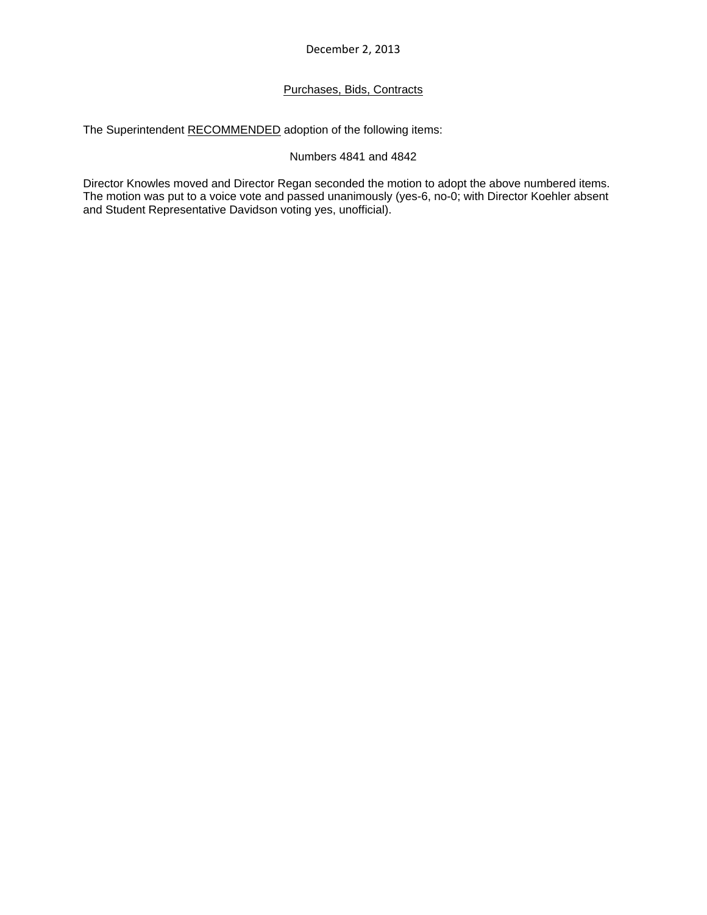December 2, 2013

# Purchases, Bids, Contracts

The Superintendent RECOMMENDED adoption of the following items:

### Numbers 4841 and 4842

Director Knowles moved and Director Regan seconded the motion to adopt the above numbered items. The motion was put to a voice vote and passed unanimously (yes-6, no-0; with Director Koehler absent and Student Representative Davidson voting yes, unofficial).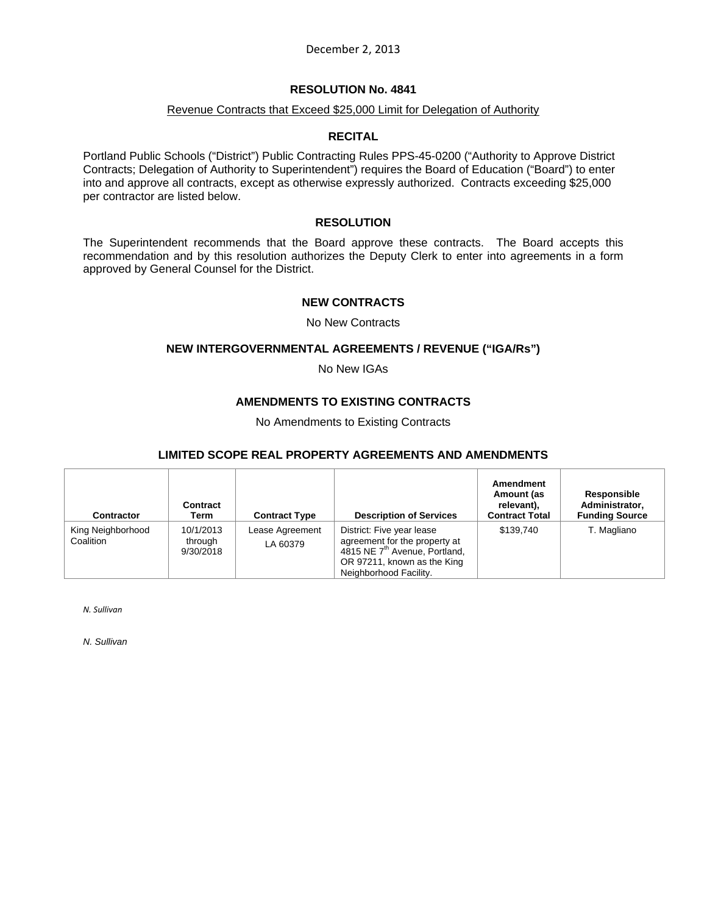December 2, 2013

### **RESOLUTION No. 4841**

#### Revenue Contracts that Exceed \$25,000 Limit for Delegation of Authority

### **RECITAL**

Portland Public Schools ("District") Public Contracting Rules PPS-45-0200 ("Authority to Approve District Contracts; Delegation of Authority to Superintendent") requires the Board of Education ("Board") to enter into and approve all contracts, except as otherwise expressly authorized. Contracts exceeding \$25,000 per contractor are listed below.

#### **RESOLUTION**

The Superintendent recommends that the Board approve these contracts. The Board accepts this recommendation and by this resolution authorizes the Deputy Clerk to enter into agreements in a form approved by General Counsel for the District.

#### **NEW CONTRACTS**

No New Contracts

#### **NEW INTERGOVERNMENTAL AGREEMENTS / REVENUE ("IGA/Rs")**

No New IGAs

### **AMENDMENTS TO EXISTING CONTRACTS**

No Amendments to Existing Contracts

### **LIMITED SCOPE REAL PROPERTY AGREEMENTS AND AMENDMENTS**

| <b>Contractor</b>              | Contract<br>Term                  | <b>Contract Type</b>        | <b>Description of Services</b>                                                                                                                                   | Amendment<br>Amount (as<br>relevant),<br><b>Contract Total</b> | Responsible<br>Administrator,<br><b>Funding Source</b> |
|--------------------------------|-----------------------------------|-----------------------------|------------------------------------------------------------------------------------------------------------------------------------------------------------------|----------------------------------------------------------------|--------------------------------------------------------|
| King Neighborhood<br>Coalition | 10/1/2013<br>through<br>9/30/2018 | Lease Agreement<br>LA 60379 | District: Five year lease<br>agreement for the property at<br>4815 NE 7 <sup>th</sup> Avenue, Portland,<br>OR 97211, known as the King<br>Neighborhood Facility. | \$139.740                                                      | T. Magliano                                            |

*N. Sullivan*

*N. Sullivan*